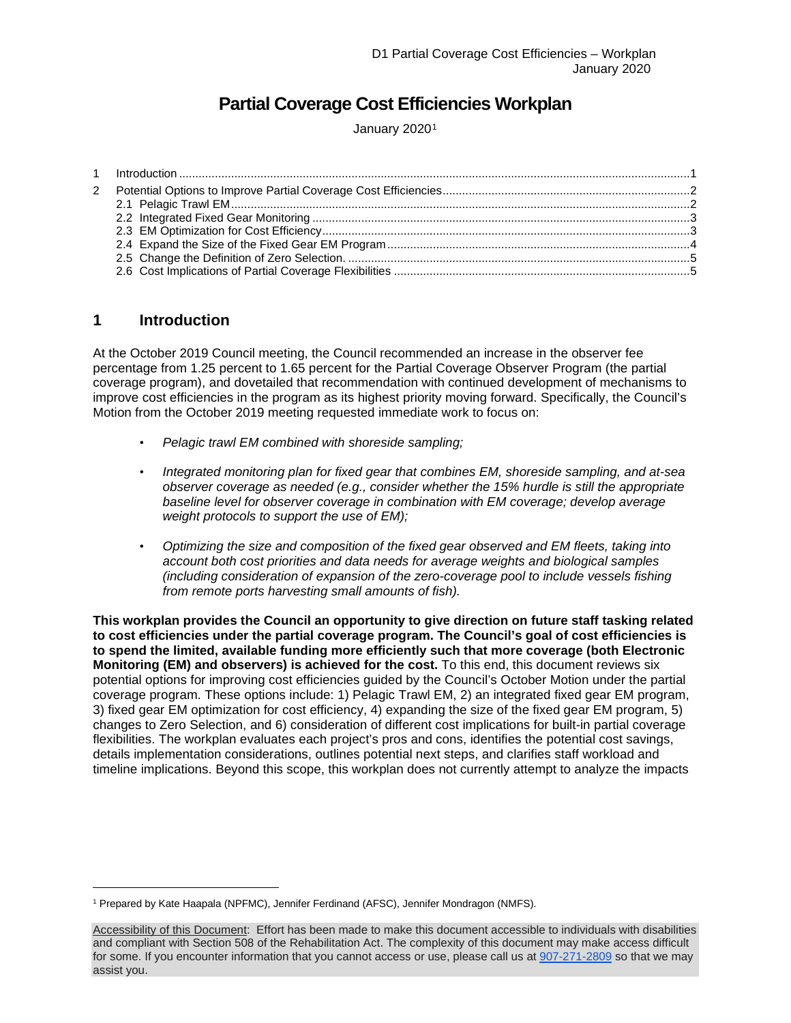## **Partial Coverage Cost Efficiencies Workplan**

January 2020<sup>[1](#page-0-1)</sup>

## <span id="page-0-0"></span>**1 Introduction**

At the October 2019 Council meeting, the Council recommended an increase in the observer fee percentage from 1.25 percent to 1.65 percent for the Partial Coverage Observer Program (the partial coverage program), and dovetailed that recommendation with continued development of mechanisms to improve cost efficiencies in the program as its highest priority moving forward. Specifically, the Council's Motion from the October 2019 meeting requested immediate work to focus on:

- *Pelagic trawl EM combined with shoreside sampling;*
- *Integrated monitoring plan for fixed gear that combines EM, shoreside sampling, and at-sea observer coverage as needed (e.g., consider whether the 15% hurdle is still the appropriate baseline level for observer coverage in combination with EM coverage; develop average weight protocols to support the use of EM);*
- *Optimizing the size and composition of the fixed gear observed and EM fleets, taking into account both cost priorities and data needs for average weights and biological samples (including consideration of expansion of the zero-coverage pool to include vessels fishing from remote ports harvesting small amounts of fish).*

**This workplan provides the Council an opportunity to give direction on future staff tasking related to cost efficiencies under the partial coverage program. The Council's goal of cost efficiencies is to spend the limited, available funding more efficiently such that more coverage (both Electronic Monitoring (EM) and observers) is achieved for the cost.** To this end, this document reviews six potential options for improving cost efficiencies guided by the Council's October Motion under the partial coverage program. These options include: 1) Pelagic Trawl EM, 2) an integrated fixed gear EM program, 3) fixed gear EM optimization for cost efficiency, 4) expanding the size of the fixed gear EM program, 5) changes to Zero Selection, and 6) consideration of different cost implications for built-in partial coverage flexibilities. The workplan evaluates each project's pros and cons, identifies the potential cost savings, details implementation considerations, outlines potential next steps, and clarifies staff workload and timeline implications. Beyond this scope, this workplan does not currently attempt to analyze the impacts

<span id="page-0-1"></span><sup>1</sup> Prepared by Kate Haapala (NPFMC), Jennifer Ferdinand (AFSC), Jennifer Mondragon (NMFS).

Accessibility of this Document: Effort has been made to make this document accessible to individuals with disabilities and compliant with Section 508 of the Rehabilitation Act. The complexity of this document may make access difficult for some. If you encounter information that you cannot access or use, please call us a[t 907-271-2809](tel:%28907%29%20586-7228) so that we may assist you.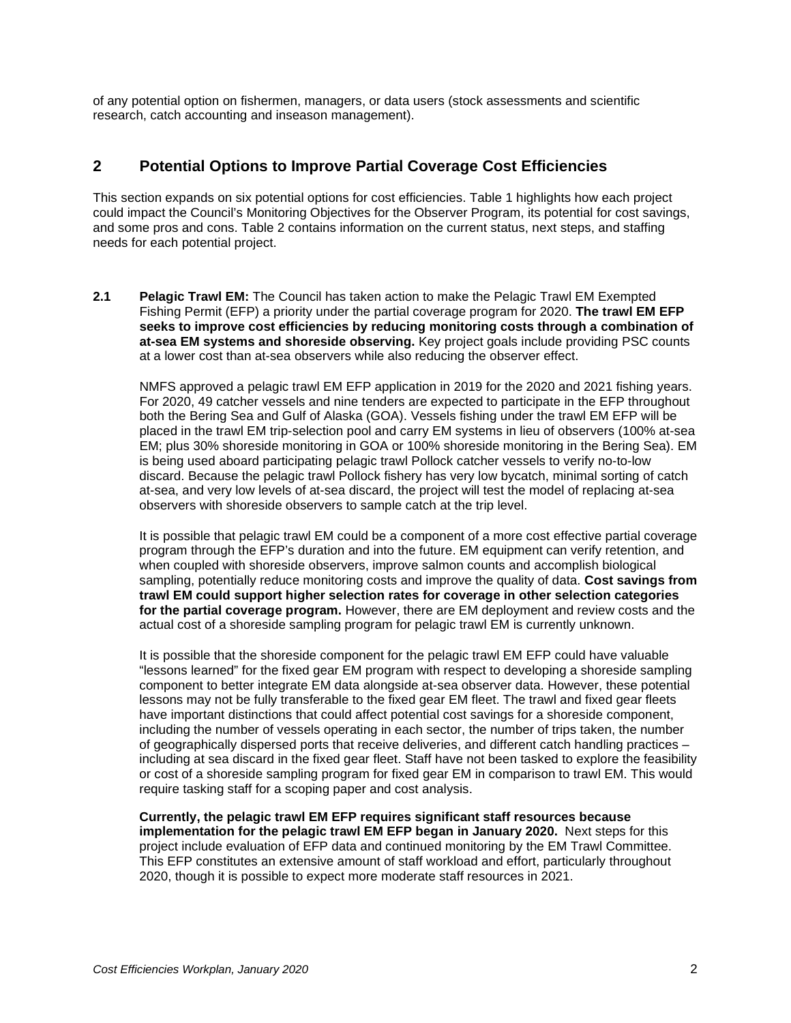of any potential option on fishermen, managers, or data users (stock assessments and scientific research, catch accounting and inseason management).

## <span id="page-1-0"></span>**2 Potential Options to Improve Partial Coverage Cost Efficiencies**

This section expands on six potential options for cost efficiencies. Table 1 highlights how each project could impact the Council's Monitoring Objectives for the Observer Program, its potential for cost savings, and some pros and cons. Table 2 contains information on the current status, next steps, and staffing needs for each potential project.

<span id="page-1-1"></span>**2.1 Pelagic Trawl EM:** The Council has taken action to make the Pelagic Trawl EM Exempted Fishing Permit (EFP) a priority under the partial coverage program for 2020. **The trawl EM EFP seeks to improve cost efficiencies by reducing monitoring costs through a combination of at-sea EM systems and shoreside observing.** Key project goals include providing PSC counts at a lower cost than at-sea observers while also reducing the observer effect.

NMFS approved a pelagic trawl EM EFP application in 2019 for the 2020 and 2021 fishing years. For 2020, 49 catcher vessels and nine tenders are expected to participate in the EFP throughout both the Bering Sea and Gulf of Alaska (GOA). Vessels fishing under the trawl EM EFP will be placed in the trawl EM trip-selection pool and carry EM systems in lieu of observers (100% at-sea EM; plus 30% shoreside monitoring in GOA or 100% shoreside monitoring in the Bering Sea). EM is being used aboard participating pelagic trawl Pollock catcher vessels to verify no-to-low discard. Because the pelagic trawl Pollock fishery has very low bycatch, minimal sorting of catch at-sea, and very low levels of at-sea discard, the project will test the model of replacing at-sea observers with shoreside observers to sample catch at the trip level.

It is possible that pelagic trawl EM could be a component of a more cost effective partial coverage program through the EFP's duration and into the future. EM equipment can verify retention, and when coupled with shoreside observers, improve salmon counts and accomplish biological sampling, potentially reduce monitoring costs and improve the quality of data. **Cost savings from trawl EM could support higher selection rates for coverage in other selection categories for the partial coverage program.** However, there are EM deployment and review costs and the actual cost of a shoreside sampling program for pelagic trawl EM is currently unknown.

It is possible that the shoreside component for the pelagic trawl EM EFP could have valuable "lessons learned" for the fixed gear EM program with respect to developing a shoreside sampling component to better integrate EM data alongside at-sea observer data. However, these potential lessons may not be fully transferable to the fixed gear EM fleet. The trawl and fixed gear fleets have important distinctions that could affect potential cost savings for a shoreside component, including the number of vessels operating in each sector, the number of trips taken, the number of geographically dispersed ports that receive deliveries, and different catch handling practices – including at sea discard in the fixed gear fleet. Staff have not been tasked to explore the feasibility or cost of a shoreside sampling program for fixed gear EM in comparison to trawl EM. This would require tasking staff for a scoping paper and cost analysis.

**Currently, the pelagic trawl EM EFP requires significant staff resources because implementation for the pelagic trawl EM EFP began in January 2020.** Next steps for this project include evaluation of EFP data and continued monitoring by the EM Trawl Committee. This EFP constitutes an extensive amount of staff workload and effort, particularly throughout 2020, though it is possible to expect more moderate staff resources in 2021.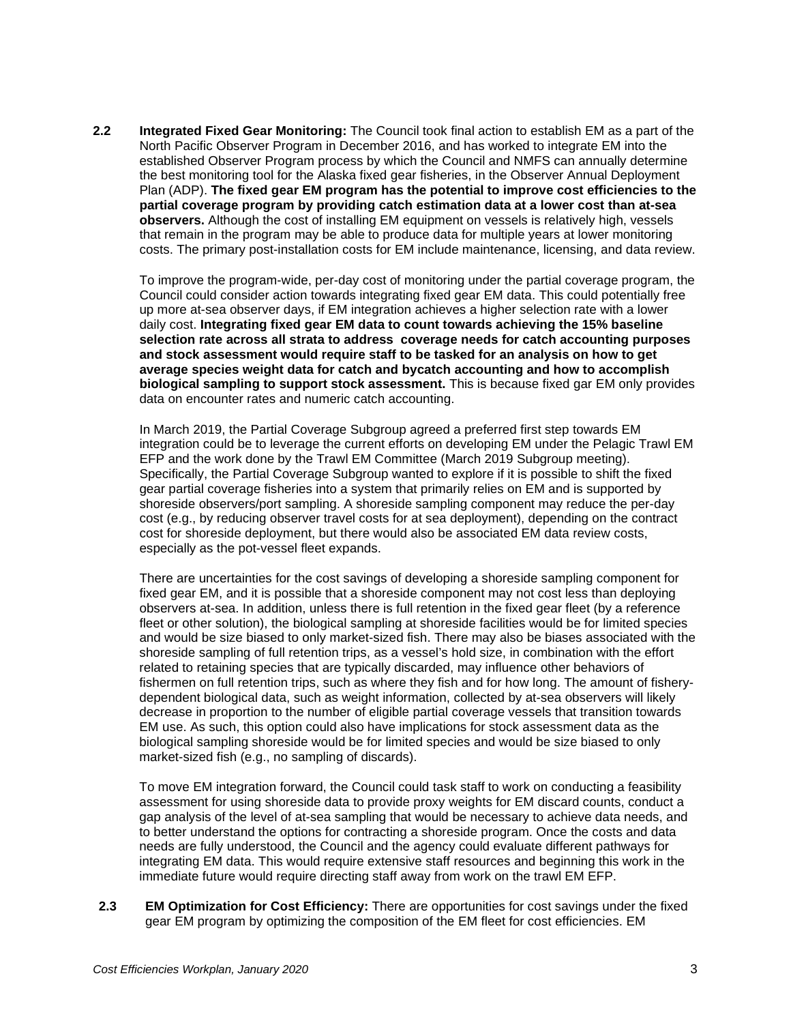<span id="page-2-0"></span>**2.2 Integrated Fixed Gear Monitoring:** The Council took final action to establish EM as a part of the North Pacific Observer Program in December 2016, and has worked to integrate EM into the established Observer Program process by which the Council and NMFS can annually determine the best monitoring tool for the Alaska fixed gear fisheries, in the Observer Annual Deployment Plan (ADP). **The fixed gear EM program has the potential to improve cost efficiencies to the partial coverage program by providing catch estimation data at a lower cost than at-sea observers.** Although the cost of installing EM equipment on vessels is relatively high, vessels that remain in the program may be able to produce data for multiple years at lower monitoring costs. The primary post-installation costs for EM include maintenance, licensing, and data review.

To improve the program-wide, per-day cost of monitoring under the partial coverage program, the Council could consider action towards integrating fixed gear EM data. This could potentially free up more at-sea observer days, if EM integration achieves a higher selection rate with a lower daily cost. **Integrating fixed gear EM data to count towards achieving the 15% baseline selection rate across all strata to address coverage needs for catch accounting purposes and stock assessment would require staff to be tasked for an analysis on how to get average species weight data for catch and bycatch accounting and how to accomplish biological sampling to support stock assessment.** This is because fixed gar EM only provides data on encounter rates and numeric catch accounting.

In March 2019, the Partial Coverage Subgroup agreed a preferred first step towards EM integration could be to leverage the current efforts on developing EM under the Pelagic Trawl EM EFP and the work done by the Trawl EM Committee (March 2019 Subgroup meeting). Specifically, the Partial Coverage Subgroup wanted to explore if it is possible to shift the fixed gear partial coverage fisheries into a system that primarily relies on EM and is supported by shoreside observers/port sampling. A shoreside sampling component may reduce the per-day cost (e.g., by reducing observer travel costs for at sea deployment), depending on the contract cost for shoreside deployment, but there would also be associated EM data review costs, especially as the pot-vessel fleet expands.

There are uncertainties for the cost savings of developing a shoreside sampling component for fixed gear EM, and it is possible that a shoreside component may not cost less than deploying observers at-sea. In addition, unless there is full retention in the fixed gear fleet (by a reference fleet or other solution), the biological sampling at shoreside facilities would be for limited species and would be size biased to only market-sized fish. There may also be biases associated with the shoreside sampling of full retention trips, as a vessel's hold size, in combination with the effort related to retaining species that are typically discarded, may influence other behaviors of fishermen on full retention trips, such as where they fish and for how long. The amount of fisherydependent biological data, such as weight information, collected by at-sea observers will likely decrease in proportion to the number of eligible partial coverage vessels that transition towards EM use. As such, this option could also have implications for stock assessment data as the biological sampling shoreside would be for limited species and would be size biased to only market-sized fish (e.g., no sampling of discards).

To move EM integration forward, the Council could task staff to work on conducting a feasibility assessment for using shoreside data to provide proxy weights for EM discard counts, conduct a gap analysis of the level of at-sea sampling that would be necessary to achieve data needs, and to better understand the options for contracting a shoreside program. Once the costs and data needs are fully understood, the Council and the agency could evaluate different pathways for integrating EM data. This would require extensive staff resources and beginning this work in the immediate future would require directing staff away from work on the trawl EM EFP.

<span id="page-2-1"></span>**2.3 EM Optimization for Cost Efficiency:** There are opportunities for cost savings under the fixed gear EM program by optimizing the composition of the EM fleet for cost efficiencies. EM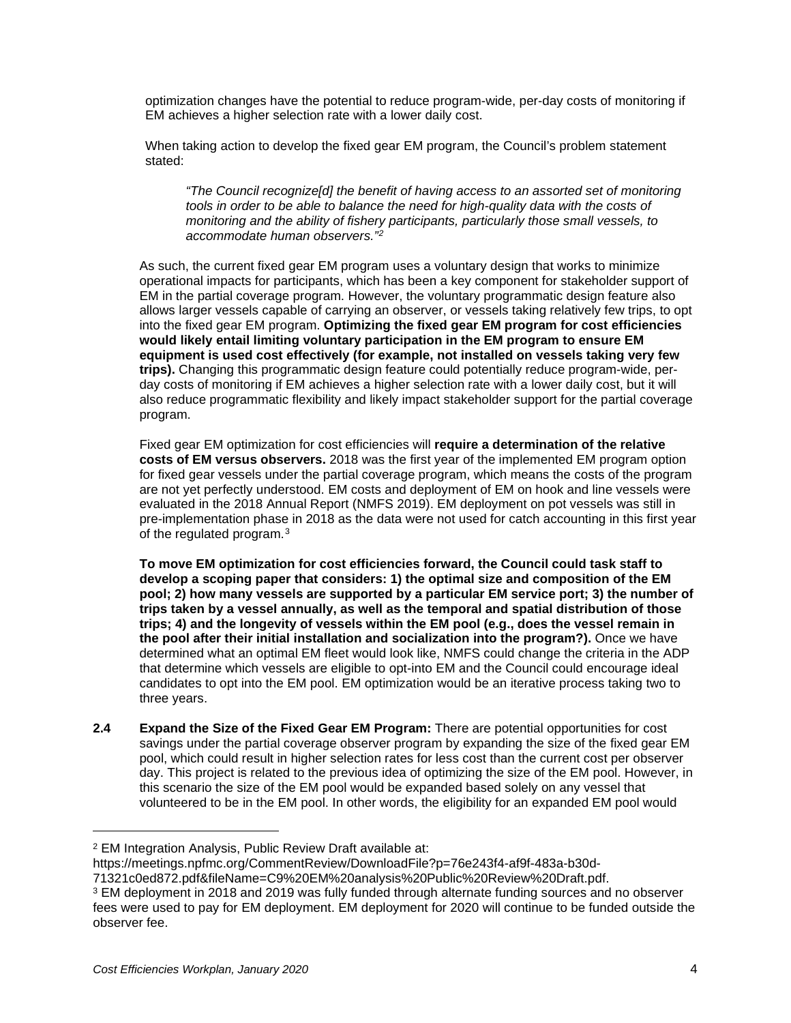optimization changes have the potential to reduce program-wide, per-day costs of monitoring if EM achieves a higher selection rate with a lower daily cost.

When taking action to develop the fixed gear EM program, the Council's problem statement stated:

*"The Council recognize[d] the benefit of having access to an assorted set of monitoring tools in order to be able to balance the need for high-quality data with the costs of monitoring and the ability of fishery participants, particularly those small vessels, to accommodate human observers."[2](#page-3-1)* 

As such, the current fixed gear EM program uses a voluntary design that works to minimize operational impacts for participants, which has been a key component for stakeholder support of EM in the partial coverage program. However, the voluntary programmatic design feature also allows larger vessels capable of carrying an observer, or vessels taking relatively few trips, to opt into the fixed gear EM program. **Optimizing the fixed gear EM program for cost efficiencies would likely entail limiting voluntary participation in the EM program to ensure EM equipment is used cost effectively (for example, not installed on vessels taking very few trips).** Changing this programmatic design feature could potentially reduce program-wide, perday costs of monitoring if EM achieves a higher selection rate with a lower daily cost, but it will also reduce programmatic flexibility and likely impact stakeholder support for the partial coverage program.

Fixed gear EM optimization for cost efficiencies will **require a determination of the relative costs of EM versus observers.** 2018 was the first year of the implemented EM program option for fixed gear vessels under the partial coverage program, which means the costs of the program are not yet perfectly understood. EM costs and deployment of EM on hook and line vessels were evaluated in the 2018 Annual Report (NMFS 2019). EM deployment on pot vessels was still in pre-implementation phase in 2018 as the data were not used for catch accounting in this first year of the regulated program.[3](#page-3-2)

**To move EM optimization for cost efficiencies forward, the Council could task staff to develop a scoping paper that considers: 1) the optimal size and composition of the EM pool; 2) how many vessels are supported by a particular EM service port; 3) the number of trips taken by a vessel annually, as well as the temporal and spatial distribution of those trips; 4) and the longevity of vessels within the EM pool (e.g., does the vessel remain in the pool after their initial installation and socialization into the program?).** Once we have determined what an optimal EM fleet would look like, NMFS could change the criteria in the ADP that determine which vessels are eligible to opt-into EM and the Council could encourage ideal candidates to opt into the EM pool. EM optimization would be an iterative process taking two to three years.

<span id="page-3-0"></span>**2.4 Expand the Size of the Fixed Gear EM Program:** There are potential opportunities for cost savings under the partial coverage observer program by expanding the size of the fixed gear EM pool, which could result in higher selection rates for less cost than the current cost per observer day. This project is related to the previous idea of optimizing the size of the EM pool. However, in this scenario the size of the EM pool would be expanded based solely on any vessel that volunteered to be in the EM pool. In other words, the eligibility for an expanded EM pool would

<span id="page-3-1"></span><sup>2</sup> EM Integration Analysis, Public Review Draft available at:

[https://meetings.npfmc.org/CommentReview/DownloadFile?p=76e243f4-af9f-483a-b30d-](https://meetings.npfmc.org/CommentReview/DownloadFile?p=76e243f4-af9f-483a-b30d-71321c0ed872.pdf&fileName=C9%20EM%20analysis%20Public%20Review%20Draft.pdf)

[<sup>71321</sup>c0ed872.pdf&fileName=C9%20EM%20analysis%20Public%20Review%20Draft.pdf.](https://meetings.npfmc.org/CommentReview/DownloadFile?p=76e243f4-af9f-483a-b30d-71321c0ed872.pdf&fileName=C9%20EM%20analysis%20Public%20Review%20Draft.pdf)

<span id="page-3-2"></span><sup>3</sup> EM deployment in 2018 and 2019 was fully funded through alternate funding sources and no observer fees were used to pay for EM deployment. EM deployment for 2020 will continue to be funded outside the observer fee.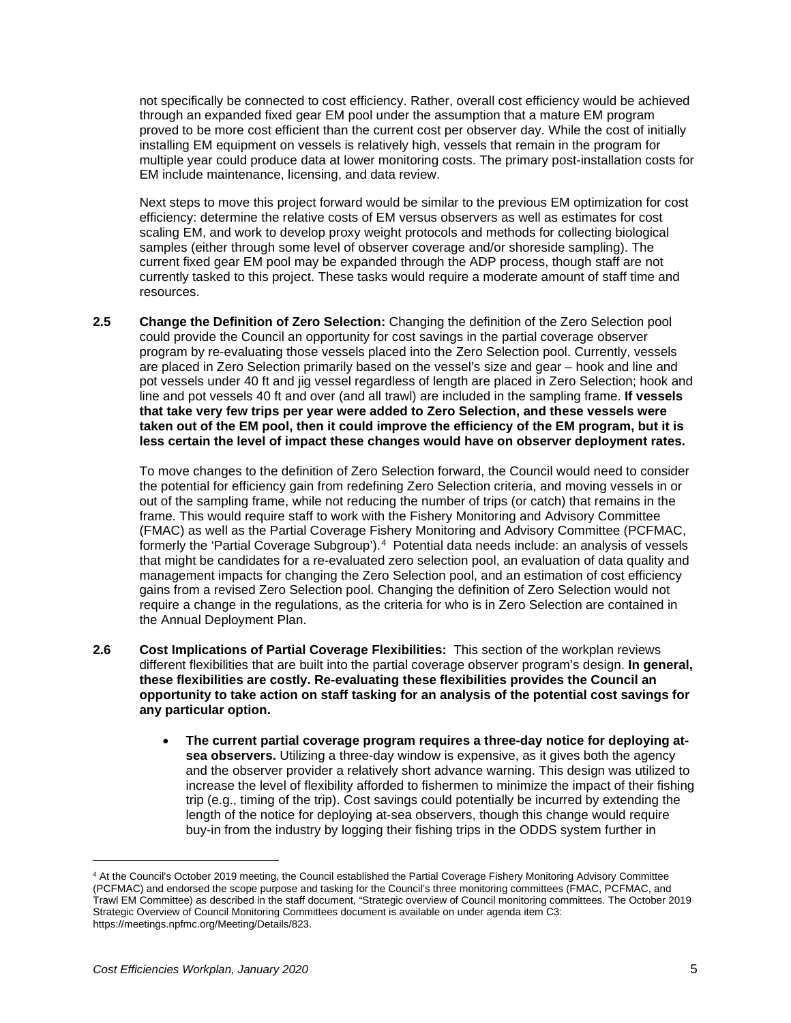not specifically be connected to cost efficiency. Rather, overall cost efficiency would be achieved through an expanded fixed gear EM pool under the assumption that a mature EM program proved to be more cost efficient than the current cost per observer day. While the cost of initially installing EM equipment on vessels is relatively high, vessels that remain in the program for multiple year could produce data at lower monitoring costs. The primary post-installation costs for EM include maintenance, licensing, and data review.

Next steps to move this project forward would be similar to the previous EM optimization for cost efficiency: determine the relative costs of EM versus observers as well as estimates for cost scaling EM, and work to develop proxy weight protocols and methods for collecting biological samples (either through some level of observer coverage and/or shoreside sampling). The current fixed gear EM pool may be expanded through the ADP process, though staff are not currently tasked to this project. These tasks would require a moderate amount of staff time and resources.

<span id="page-4-0"></span>**2.5 Change the Definition of Zero Selection:** Changing the definition of the Zero Selection pool could provide the Council an opportunity for cost savings in the partial coverage observer program by re-evaluating those vessels placed into the Zero Selection pool. Currently, vessels are placed in Zero Selection primarily based on the vessel's size and gear – hook and line and pot vessels under 40 ft and jig vessel regardless of length are placed in Zero Selection; hook and line and pot vessels 40 ft and over (and all trawl) are included in the sampling frame. **If vessels that take very few trips per year were added to Zero Selection, and these vessels were taken out of the EM pool, then it could improve the efficiency of the EM program, but it is less certain the level of impact these changes would have on observer deployment rates.**

To move changes to the definition of Zero Selection forward, the Council would need to consider the potential for efficiency gain from redefining Zero Selection criteria, and moving vessels in or out of the sampling frame, while not reducing the number of trips (or catch) that remains in the frame. This would require staff to work with the Fishery Monitoring and Advisory Committee (FMAC) as well as the Partial Coverage Fishery Monitoring and Advisory Committee (PCFMAC, formerly the 'Partial Coverage Subgroup').<sup>4</sup> Potential data needs include: an analysis of vessels that might be candidates for a re-evaluated zero selection pool, an evaluation of data quality and management impacts for changing the Zero Selection pool, and an estimation of cost efficiency gains from a revised Zero Selection pool. Changing the definition of Zero Selection would not require a change in the regulations, as the criteria for who is in Zero Selection are contained in the Annual Deployment Plan.

- <span id="page-4-1"></span>**2.6 Cost Implications of Partial Coverage Flexibilities:** This section of the workplan reviews different flexibilities that are built into the partial coverage observer program's design. **In general, these flexibilities are costly. Re-evaluating these flexibilities provides the Council an opportunity to take action on staff tasking for an analysis of the potential cost savings for any particular option.**
	- **The current partial coverage program requires a three-day notice for deploying atsea observers.** Utilizing a three-day window is expensive, as it gives both the agency and the observer provider a relatively short advance warning. This design was utilized to increase the level of flexibility afforded to fishermen to minimize the impact of their fishing trip (e.g., timing of the trip). Cost savings could potentially be incurred by extending the length of the notice for deploying at-sea observers, though this change would require buy-in from the industry by logging their fishing trips in the ODDS system further in

<span id="page-4-2"></span><sup>4</sup> At the Council's October 2019 meeting, the Council established the Partial Coverage Fishery Monitoring Advisory Committee (PCFMAC) and endorsed the scope purpose and tasking for the Council's three monitoring committees (FMAC, PCFMAC, and Trawl EM Committee) as described in the staff document, "Strategic overview of Council monitoring committees. The October 2019 Strategic Overview of Council Monitoring Committees document is available on under agenda item C3: https://meetings.npfmc.org/Meeting/Details/823.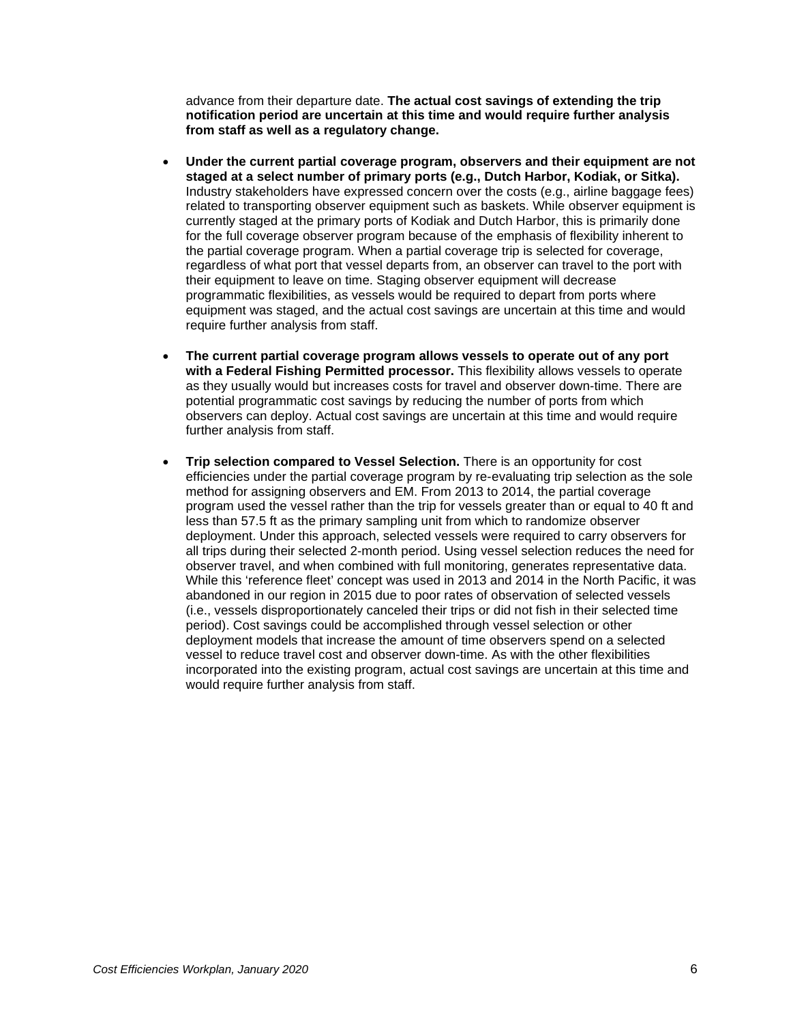advance from their departure date. **The actual cost savings of extending the trip notification period are uncertain at this time and would require further analysis from staff as well as a regulatory change.** 

- **Under the current partial coverage program, observers and their equipment are not staged at a select number of primary ports (e.g., Dutch Harbor, Kodiak, or Sitka).**  Industry stakeholders have expressed concern over the costs (e.g., airline baggage fees) related to transporting observer equipment such as baskets. While observer equipment is currently staged at the primary ports of Kodiak and Dutch Harbor, this is primarily done for the full coverage observer program because of the emphasis of flexibility inherent to the partial coverage program. When a partial coverage trip is selected for coverage, regardless of what port that vessel departs from, an observer can travel to the port with their equipment to leave on time. Staging observer equipment will decrease programmatic flexibilities, as vessels would be required to depart from ports where equipment was staged, and the actual cost savings are uncertain at this time and would require further analysis from staff.
- **The current partial coverage program allows vessels to operate out of any port with a Federal Fishing Permitted processor.** This flexibility allows vessels to operate as they usually would but increases costs for travel and observer down-time. There are potential programmatic cost savings by reducing the number of ports from which observers can deploy. Actual cost savings are uncertain at this time and would require further analysis from staff.
- **Trip selection compared to Vessel Selection.** There is an opportunity for cost efficiencies under the partial coverage program by re-evaluating trip selection as the sole method for assigning observers and EM. From 2013 to 2014, the partial coverage program used the vessel rather than the trip for vessels greater than or equal to 40 ft and less than 57.5 ft as the primary sampling unit from which to randomize observer deployment. Under this approach, selected vessels were required to carry observers for all trips during their selected 2-month period. Using vessel selection reduces the need for observer travel, and when combined with full monitoring, generates representative data. While this 'reference fleet' concept was used in 2013 and 2014 in the North Pacific, it was abandoned in our region in 2015 due to poor rates of observation of selected vessels (i.e., vessels disproportionately canceled their trips or did not fish in their selected time period). Cost savings could be accomplished through vessel selection or other deployment models that increase the amount of time observers spend on a selected vessel to reduce travel cost and observer down-time. As with the other flexibilities incorporated into the existing program, actual cost savings are uncertain at this time and would require further analysis from staff.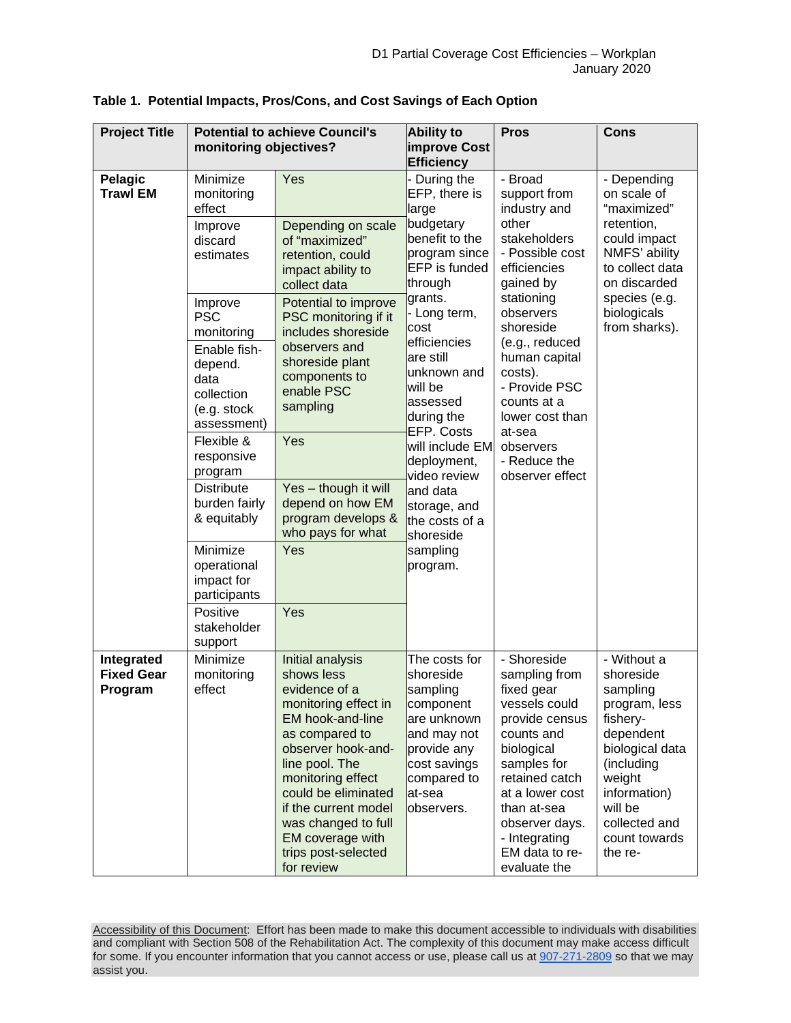| <b>Project Title</b>                       | <b>Potential to achieve Council's</b><br>monitoring objectives?                                                                                                                                                                                                                                                                                                                                             |                                                                                                                                                                                                                                                                                                           | <b>Ability to</b><br>improve Cost<br><b>Efficiency</b>                                                                                                   | <b>Pros</b>                                                                                                                                                                                                                                       | Cons                                                                                                                                                                                              |
|--------------------------------------------|-------------------------------------------------------------------------------------------------------------------------------------------------------------------------------------------------------------------------------------------------------------------------------------------------------------------------------------------------------------------------------------------------------------|-----------------------------------------------------------------------------------------------------------------------------------------------------------------------------------------------------------------------------------------------------------------------------------------------------------|----------------------------------------------------------------------------------------------------------------------------------------------------------|---------------------------------------------------------------------------------------------------------------------------------------------------------------------------------------------------------------------------------------------------|---------------------------------------------------------------------------------------------------------------------------------------------------------------------------------------------------|
| Pelagic<br><b>Trawl EM</b>                 | Minimize<br>monitoring<br>effect                                                                                                                                                                                                                                                                                                                                                                            | Yes                                                                                                                                                                                                                                                                                                       | - During the<br>EFP, there is<br>large<br>benefit to the<br>program since<br>EFP is funded                                                               | - Broad<br>support from<br>industry and                                                                                                                                                                                                           | - Depending<br>on scale of<br>"maximized"<br>retention,<br>could impact<br>NMFS' ability<br>to collect data<br>on discarded                                                                       |
|                                            | Depending on scale<br>Improve<br>of "maximized"<br>discard<br>estimates<br>retention, could<br>impact ability to<br>collect data<br>Potential to improve<br>Improve<br><b>PSC</b><br>PSC monitoring if it<br>includes shoreside<br>monitoring<br>observers and<br>Enable fish-<br>shoreside plant<br>depend.<br>components to<br>data<br>enable PSC<br>collection<br>sampling<br>(e.g. stock<br>assessment) |                                                                                                                                                                                                                                                                                                           |                                                                                                                                                          | budgetary<br>other<br>stakeholders<br>- Possible cost<br>efficiencies<br>gained by<br>through                                                                                                                                                     |                                                                                                                                                                                                   |
|                                            |                                                                                                                                                                                                                                                                                                                                                                                                             |                                                                                                                                                                                                                                                                                                           | grants.<br>- Long term,<br>cost<br>efficiencies                                                                                                          | stationing<br>observers<br>shoreside                                                                                                                                                                                                              | species (e.g.<br>biologicals<br>from sharks).                                                                                                                                                     |
|                                            |                                                                                                                                                                                                                                                                                                                                                                                                             | are still<br>unknown and<br>will be<br>assessed<br>during the<br>EFP. Costs                                                                                                                                                                                                                               | (e.g., reduced<br>human capital<br>costs).<br>- Provide PSC<br>counts at a<br>lower cost than                                                            |                                                                                                                                                                                                                                                   |                                                                                                                                                                                                   |
|                                            | Flexible &<br>responsive<br>program                                                                                                                                                                                                                                                                                                                                                                         | Yes                                                                                                                                                                                                                                                                                                       | will include EM<br>deployment,<br>video review                                                                                                           | at-sea<br>observers<br>- Reduce the<br>observer effect                                                                                                                                                                                            |                                                                                                                                                                                                   |
|                                            | <b>Distribute</b><br>Yes - though it will<br>burden fairly<br>depend on how EM<br>program develops &<br>& equitably<br>who pays for what                                                                                                                                                                                                                                                                    | and data<br>storage, and<br>the costs of a<br>shoreside                                                                                                                                                                                                                                                   |                                                                                                                                                          |                                                                                                                                                                                                                                                   |                                                                                                                                                                                                   |
|                                            | Minimize<br>operational<br>impact for<br>participants                                                                                                                                                                                                                                                                                                                                                       | Yes                                                                                                                                                                                                                                                                                                       | sampling<br>program.                                                                                                                                     |                                                                                                                                                                                                                                                   |                                                                                                                                                                                                   |
|                                            | Positive<br>stakeholder<br>support                                                                                                                                                                                                                                                                                                                                                                          | Yes                                                                                                                                                                                                                                                                                                       |                                                                                                                                                          |                                                                                                                                                                                                                                                   |                                                                                                                                                                                                   |
| Integrated<br><b>Fixed Gear</b><br>Program | Minimize<br>monitoring<br>effect                                                                                                                                                                                                                                                                                                                                                                            | Initial analysis<br>shows less<br>evidence of a<br>monitoring effect in<br>EM hook-and-line<br>as compared to<br>observer hook-and-<br>line pool. The<br>monitoring effect<br>could be eliminated<br>if the current model<br>was changed to full<br>EM coverage with<br>trips post-selected<br>for review | The costs for<br>shoreside<br>sampling<br>component<br>lare unknown<br>and may not<br>provide any<br>cost savings<br>compared to<br>at-sea<br>observers. | - Shoreside<br>sampling from<br>fixed gear<br>vessels could<br>provide census<br>counts and<br>biological<br>samples for<br>retained catch<br>at a lower cost<br>than at-sea<br>observer days.<br>- Integrating<br>EM data to re-<br>evaluate the | - Without a<br>shoreside<br>sampling<br>program, less<br>fishery-<br>dependent<br>biological data<br>(including<br>weight<br>information)<br>will be<br>collected and<br>count towards<br>the re- |

|  |  |  | Table 1. Potential Impacts, Pros/Cons, and Cost Savings of Each Option |  |  |  |  |
|--|--|--|------------------------------------------------------------------------|--|--|--|--|
|--|--|--|------------------------------------------------------------------------|--|--|--|--|

Accessibility of this Document: Effort has been made to make this document accessible to individuals with disabilities and compliant with Section 508 of the Rehabilitation Act. The complexity of this document may make access difficult for some. If you encounter information that you cannot access or use, please call us a[t 907-271-2809](tel:%28907%29%20586-7228) so that we may assist you.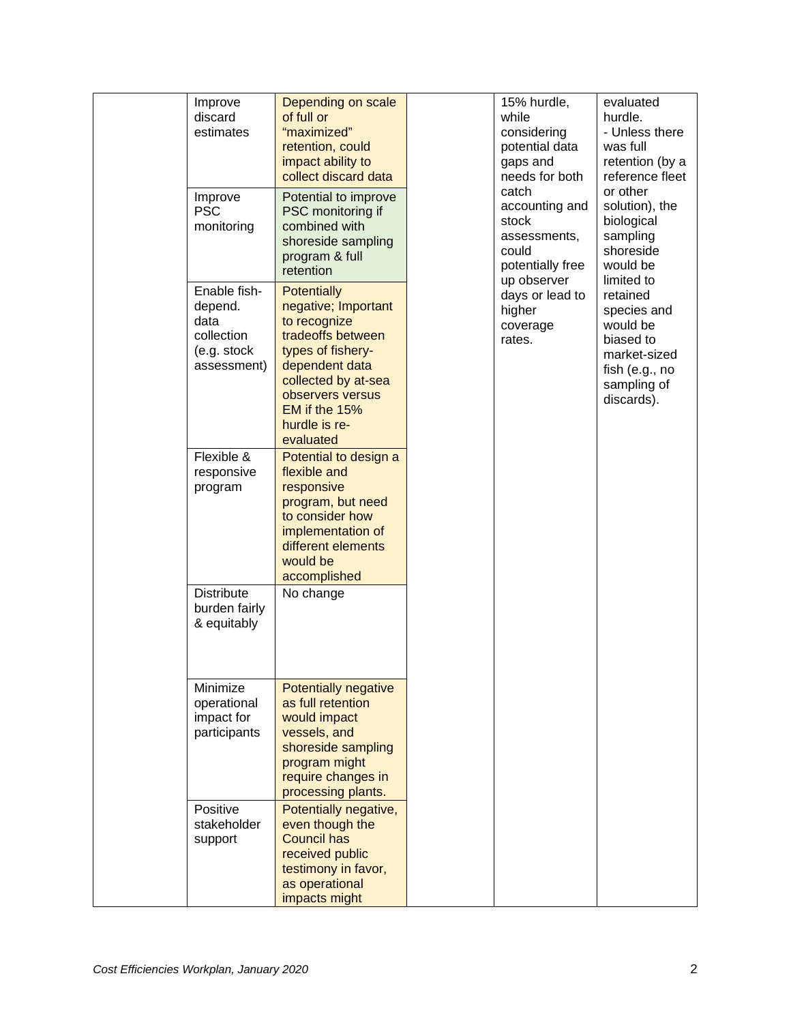| Improve<br>discard<br>estimates                                             | Depending on scale<br>of full or<br>"maximized"<br>retention, could<br>impact ability to<br>collect discard data                                                                                                | 15% hurdle,<br>while<br>considering<br>potential data<br>gaps and<br>needs for both<br>catch | evaluated<br>hurdle.<br>- Unless there<br>was full<br>retention (by a<br>reference fleet<br>or other            |
|-----------------------------------------------------------------------------|-----------------------------------------------------------------------------------------------------------------------------------------------------------------------------------------------------------------|----------------------------------------------------------------------------------------------|-----------------------------------------------------------------------------------------------------------------|
| Improve<br><b>PSC</b><br>monitoring                                         | Potential to improve<br>PSC monitoring if<br>combined with<br>shoreside sampling<br>program & full<br>retention                                                                                                 | accounting and<br>stock<br>assessments,<br>could<br>potentially free<br>up observer          | solution), the<br>biological<br>sampling<br>shoreside<br>would be<br>limited to                                 |
| Enable fish-<br>depend.<br>data<br>collection<br>(e.g. stock<br>assessment) | <b>Potentially</b><br>negative; Important<br>to recognize<br>tradeoffs between<br>types of fishery-<br>dependent data<br>collected by at-sea<br>observers versus<br>EM if the 15%<br>hurdle is re-<br>evaluated | days or lead to<br>higher<br>coverage<br>rates.                                              | retained<br>species and<br>would be<br>biased to<br>market-sized<br>fish (e.g., no<br>sampling of<br>discards). |
| Flexible &<br>responsive<br>program                                         | Potential to design a<br>flexible and<br>responsive<br>program, but need<br>to consider how<br>implementation of<br>different elements<br>would be<br>accomplished                                              |                                                                                              |                                                                                                                 |
| <b>Distribute</b><br>burden fairly<br>& equitably                           | No change                                                                                                                                                                                                       |                                                                                              |                                                                                                                 |
| Minimize<br>operational<br>impact for<br>participants                       | <b>Potentially negative</b><br>as full retention<br>would impact<br>vessels, and<br>shoreside sampling<br>program might<br>require changes in<br>processing plants.                                             |                                                                                              |                                                                                                                 |
| Positive<br>stakeholder<br>support                                          | Potentially negative,<br>even though the<br><b>Council has</b><br>received public<br>testimony in favor,<br>as operational<br>impacts might                                                                     |                                                                                              |                                                                                                                 |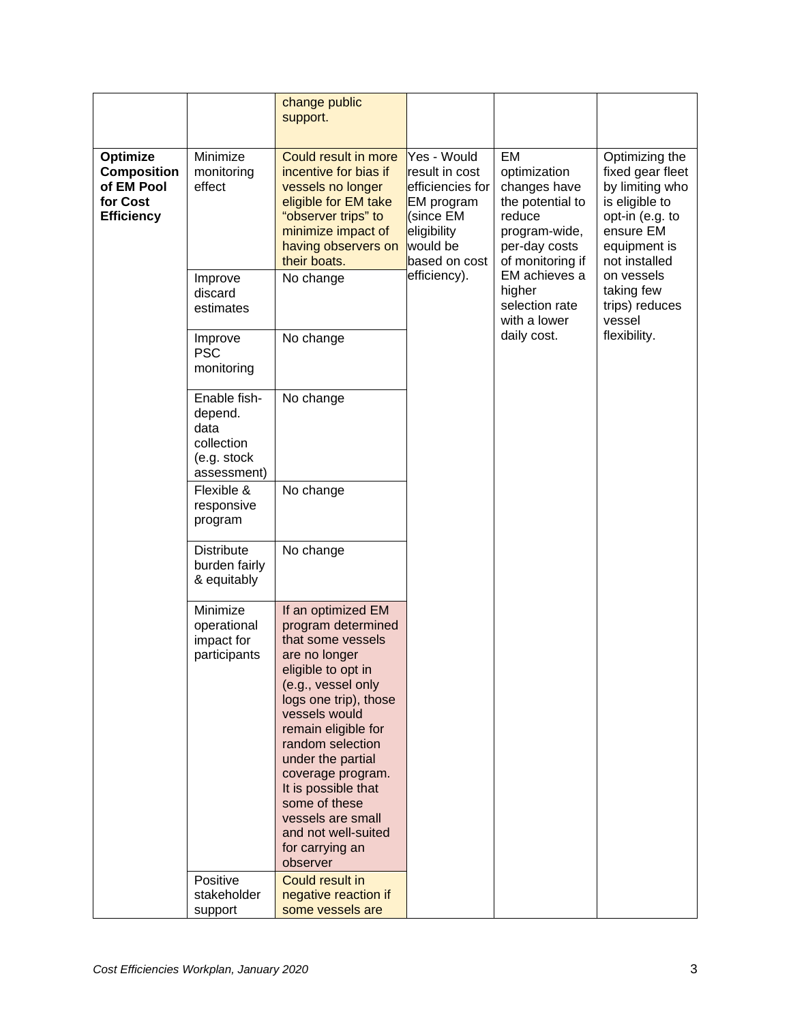|                                                                               |                                                                                          | change public<br>support.                                                                                                                                                                                                                                                                                                                                                                       |                                                                                                                                         |                                                                                                                                                        |                                        |
|-------------------------------------------------------------------------------|------------------------------------------------------------------------------------------|-------------------------------------------------------------------------------------------------------------------------------------------------------------------------------------------------------------------------------------------------------------------------------------------------------------------------------------------------------------------------------------------------|-----------------------------------------------------------------------------------------------------------------------------------------|--------------------------------------------------------------------------------------------------------------------------------------------------------|----------------------------------------|
| Optimize<br><b>Composition</b><br>of EM Pool<br>for Cost<br><b>Efficiency</b> | Minimize<br>monitoring<br>effect                                                         | Could result in more<br>Yes - Would<br>incentive for bias if<br>result in cost<br>efficiencies for<br>vessels no longer<br>eligible for EM take<br>EM program<br>"observer trips" to<br>(since EM<br>eligibility<br>minimize impact of<br>would be<br>having observers on<br>their boats.<br>based on cost                                                                                      | EM<br>optimization<br>changes have<br>the potential to<br>reduce<br>program-wide,<br>per-day costs<br>of monitoring if<br>EM achieves a | Optimizing the<br>fixed gear fleet<br>by limiting who<br>is eligible to<br>opt-in (e.g. to<br>ensure EM<br>equipment is<br>not installed<br>on vessels |                                        |
|                                                                               | Improve<br>discard<br>estimates                                                          | No change                                                                                                                                                                                                                                                                                                                                                                                       | efficiency).                                                                                                                            | higher<br>selection rate<br>with a lower                                                                                                               | taking few<br>trips) reduces<br>vessel |
|                                                                               | Improve<br><b>PSC</b><br>monitoring                                                      | No change                                                                                                                                                                                                                                                                                                                                                                                       |                                                                                                                                         | daily cost.                                                                                                                                            | flexibility.                           |
|                                                                               | Enable fish-<br>depend.<br>data<br>collection<br>(e.g. stock<br>assessment)              | No change                                                                                                                                                                                                                                                                                                                                                                                       |                                                                                                                                         |                                                                                                                                                        |                                        |
|                                                                               | Flexible &<br>responsive<br>program<br><b>Distribute</b><br>burden fairly<br>& equitably | No change                                                                                                                                                                                                                                                                                                                                                                                       |                                                                                                                                         |                                                                                                                                                        |                                        |
|                                                                               |                                                                                          | No change                                                                                                                                                                                                                                                                                                                                                                                       |                                                                                                                                         |                                                                                                                                                        |                                        |
|                                                                               | Minimize<br>operational<br>impact for<br>participants<br>Positive                        | If an optimized EM<br>program determined<br>that some vessels<br>are no longer<br>eligible to opt in<br>(e.g., vessel only<br>logs one trip), those<br>vessels would<br>remain eligible for<br>random selection<br>under the partial<br>coverage program.<br>It is possible that<br>some of these<br>vessels are small<br>and not well-suited<br>for carrying an<br>observer<br>Could result in |                                                                                                                                         |                                                                                                                                                        |                                        |
|                                                                               | stakeholder<br>support                                                                   | negative reaction if<br>some vessels are                                                                                                                                                                                                                                                                                                                                                        |                                                                                                                                         |                                                                                                                                                        |                                        |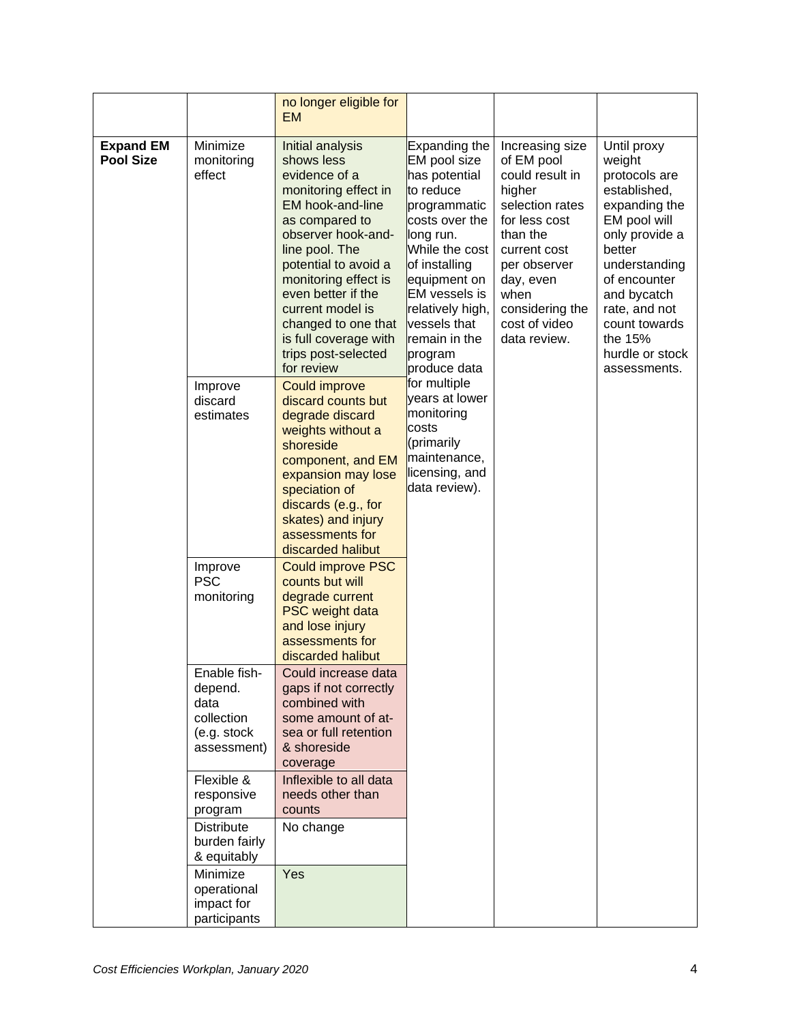|                                      |                                                                             | no longer eligible for<br><b>EM</b>                                                                                                                                                                                                                                                                                                  |                                                                                                                                                                                                                                                                                                                                                                                                        |  |  |                                                                                                        |                                                                                                           |                                                                                                                                                                                                                                                     |
|--------------------------------------|-----------------------------------------------------------------------------|--------------------------------------------------------------------------------------------------------------------------------------------------------------------------------------------------------------------------------------------------------------------------------------------------------------------------------------|--------------------------------------------------------------------------------------------------------------------------------------------------------------------------------------------------------------------------------------------------------------------------------------------------------------------------------------------------------------------------------------------------------|--|--|--------------------------------------------------------------------------------------------------------|-----------------------------------------------------------------------------------------------------------|-----------------------------------------------------------------------------------------------------------------------------------------------------------------------------------------------------------------------------------------------------|
| <b>Expand EM</b><br><b>Pool Size</b> | Minimize<br>monitoring<br>effect                                            | Initial analysis<br>shows less<br>evidence of a<br>monitoring effect in<br>EM hook-and-line<br>as compared to<br>observer hook-and-<br>line pool. The<br>potential to avoid a<br>monitoring effect is<br>even better if the<br>current model is<br>changed to one that<br>is full coverage with<br>trips post-selected<br>for review | <b>Expanding the</b><br>EM pool size<br>has potential<br>to reduce<br>programmatic<br>costs over the<br>long run.<br>While the cost<br>of installing<br>equipment on<br><b>EM</b> vessels is<br>relatively high,<br>vessels that<br>remain in the<br>program<br>produce data<br>for multiple<br>years at lower<br>monitoring<br>costs<br>(primarily<br>maintenance,<br>licensing, and<br>data review). |  |  | of EM pool<br>higher<br>for less cost<br>than the<br>current cost<br>day, even<br>when<br>data review. | Increasing size<br>could result in<br>selection rates<br>per observer<br>considering the<br>cost of video | Until proxy<br>weight<br>protocols are<br>established,<br>expanding the<br>EM pool will<br>only provide a<br>better<br>understanding<br>of encounter<br>and bycatch<br>rate, and not<br>count towards<br>the 15%<br>hurdle or stock<br>assessments. |
|                                      | Improve<br>discard<br>estimates                                             | <b>Could improve</b><br>discard counts but<br>degrade discard<br>weights without a<br>shoreside<br>component, and EM<br>expansion may lose<br>speciation of<br>discards (e.g., for<br>skates) and injury<br>assessments for<br>discarded halibut                                                                                     |                                                                                                                                                                                                                                                                                                                                                                                                        |  |  |                                                                                                        |                                                                                                           |                                                                                                                                                                                                                                                     |
|                                      | Improve<br><b>PSC</b><br>monitoring                                         | <b>Could improve PSC</b><br>counts but will<br>degrade current<br><b>PSC</b> weight data<br>and lose injury<br>assessments for<br>discarded halibut                                                                                                                                                                                  |                                                                                                                                                                                                                                                                                                                                                                                                        |  |  |                                                                                                        |                                                                                                           |                                                                                                                                                                                                                                                     |
|                                      | Enable fish-<br>depend.<br>data<br>collection<br>(e.g. stock<br>assessment) | Could increase data<br>gaps if not correctly<br>combined with<br>some amount of at-<br>sea or full retention<br>& shoreside<br>coverage                                                                                                                                                                                              |                                                                                                                                                                                                                                                                                                                                                                                                        |  |  |                                                                                                        |                                                                                                           |                                                                                                                                                                                                                                                     |
|                                      | Flexible &<br>responsive<br>program                                         | Inflexible to all data<br>needs other than<br>counts                                                                                                                                                                                                                                                                                 |                                                                                                                                                                                                                                                                                                                                                                                                        |  |  |                                                                                                        |                                                                                                           |                                                                                                                                                                                                                                                     |
|                                      | <b>Distribute</b><br>burden fairly<br>& equitably                           | No change                                                                                                                                                                                                                                                                                                                            |                                                                                                                                                                                                                                                                                                                                                                                                        |  |  |                                                                                                        |                                                                                                           |                                                                                                                                                                                                                                                     |
|                                      | Minimize<br>operational<br>impact for<br>participants                       | Yes                                                                                                                                                                                                                                                                                                                                  |                                                                                                                                                                                                                                                                                                                                                                                                        |  |  |                                                                                                        |                                                                                                           |                                                                                                                                                                                                                                                     |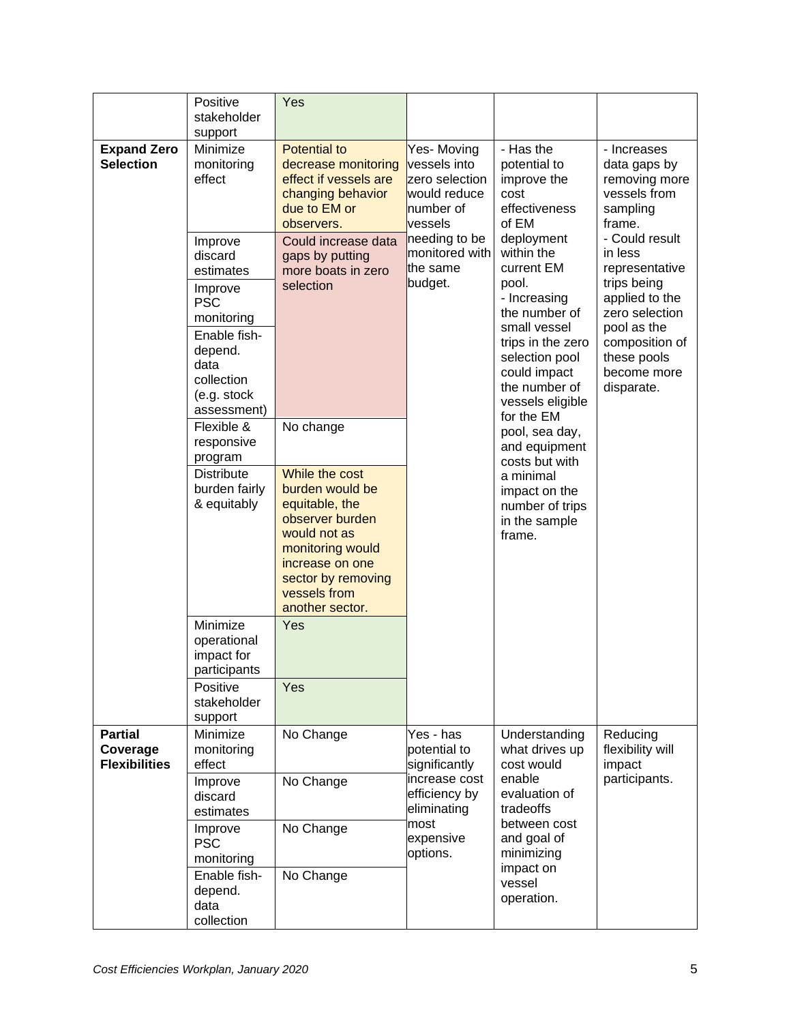|                                                    | Positive<br>stakeholder<br>support                                                                                                                    | Yes                                                                                                                                                                                                 |                                                                                      |                                                                                                                                                                                                                                                                                                                                             |                                                                                                                                                                             |
|----------------------------------------------------|-------------------------------------------------------------------------------------------------------------------------------------------------------|-----------------------------------------------------------------------------------------------------------------------------------------------------------------------------------------------------|--------------------------------------------------------------------------------------|---------------------------------------------------------------------------------------------------------------------------------------------------------------------------------------------------------------------------------------------------------------------------------------------------------------------------------------------|-----------------------------------------------------------------------------------------------------------------------------------------------------------------------------|
| <b>Expand Zero</b><br><b>Selection</b>             | Minimize<br>monitoring<br>effect                                                                                                                      | <b>Potential to</b><br>decrease monitoring<br>effect if vessels are<br>changing behavior<br>due to EM or<br>observers.                                                                              | Yes-Moving<br>vessels into<br>zero selection<br>would reduce<br>number of<br>vessels | - Has the<br>potential to<br>improve the<br>cost<br>effectiveness<br>of EM                                                                                                                                                                                                                                                                  | - Increases<br>data gaps by<br>removing more<br>vessels from<br>sampling<br>frame.                                                                                          |
|                                                    | Improve<br>discard<br>estimates<br>Improve<br><b>PSC</b><br>monitoring<br>Enable fish-<br>depend.<br>data<br>collection<br>(e.g. stock<br>assessment) | Could increase data<br>gaps by putting<br>more boats in zero<br>selection                                                                                                                           | needing to be<br>monitored with<br>the same<br>budget.                               | deployment<br>within the<br>current EM<br>pool.<br>- Increasing<br>the number of<br>small vessel<br>trips in the zero<br>selection pool<br>could impact<br>the number of<br>vessels eligible<br>for the EM<br>pool, sea day,<br>and equipment<br>costs but with<br>a minimal<br>impact on the<br>number of trips<br>in the sample<br>frame. | - Could result<br>in less<br>representative<br>trips being<br>applied to the<br>zero selection<br>pool as the<br>composition of<br>these pools<br>become more<br>disparate. |
|                                                    | Flexible &<br>responsive<br>program<br><b>Distribute</b><br>burden fairly<br>& equitably                                                              | No change<br>While the cost<br>burden would be<br>equitable, the<br>observer burden<br>would not as<br>monitoring would<br>increase on one<br>sector by removing<br>vessels from<br>another sector. |                                                                                      |                                                                                                                                                                                                                                                                                                                                             |                                                                                                                                                                             |
|                                                    | Minimize<br>operational<br>impact for<br>participants<br>Positive<br>stakeholder                                                                      | Yes<br>Yes                                                                                                                                                                                          |                                                                                      |                                                                                                                                                                                                                                                                                                                                             |                                                                                                                                                                             |
|                                                    | support                                                                                                                                               |                                                                                                                                                                                                     |                                                                                      |                                                                                                                                                                                                                                                                                                                                             |                                                                                                                                                                             |
| <b>Partial</b><br>Coverage<br><b>Flexibilities</b> | Minimize<br>monitoring<br>effect                                                                                                                      | No Change                                                                                                                                                                                           | Yes - has<br>potential to<br>significantly<br>increase cost                          | Understanding<br>what drives up<br>cost would<br>enable                                                                                                                                                                                                                                                                                     | Reducing<br>flexibility will<br>impact                                                                                                                                      |
|                                                    | Improve<br>discard<br>estimates                                                                                                                       | No Change                                                                                                                                                                                           | efficiency by<br>eliminating                                                         | evaluation of<br>tradeoffs                                                                                                                                                                                                                                                                                                                  | participants.                                                                                                                                                               |
|                                                    | Improve<br><b>PSC</b><br>monitoring                                                                                                                   | No Change                                                                                                                                                                                           | most<br>expensive<br>options.                                                        | between cost<br>and goal of<br>minimizing<br>impact on<br>vessel<br>operation.                                                                                                                                                                                                                                                              |                                                                                                                                                                             |
|                                                    | Enable fish-<br>depend.<br>data<br>collection                                                                                                         | No Change                                                                                                                                                                                           |                                                                                      |                                                                                                                                                                                                                                                                                                                                             |                                                                                                                                                                             |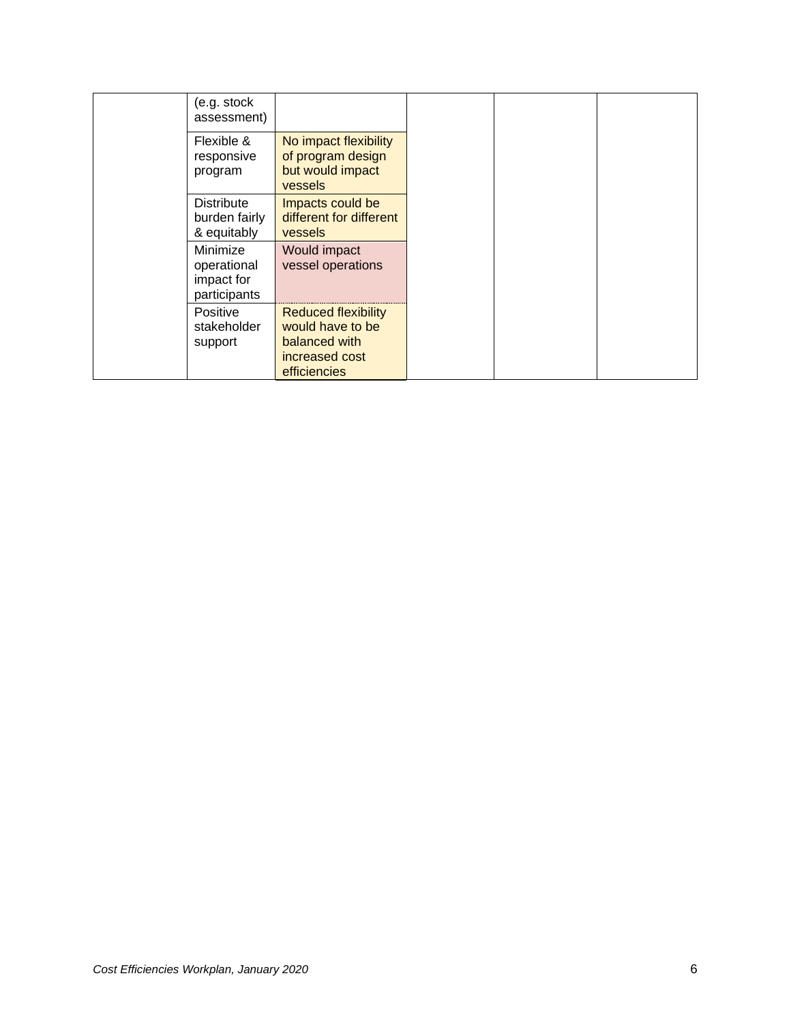| (e.g. stock<br>assessment)                            |                                                                                                   |
|-------------------------------------------------------|---------------------------------------------------------------------------------------------------|
| Flexible &<br>responsive<br>program                   | No impact flexibility<br>of program design<br>but would impact<br>vessels                         |
| <b>Distribute</b><br>burden fairly<br>& equitably     | Impacts could be<br>different for different<br>vessels                                            |
| Minimize<br>operational<br>impact for<br>participants | Would impact<br>vessel operations                                                                 |
| <b>Positive</b><br>stakeholder<br>support             | <b>Reduced flexibility</b><br>would have to be<br>balanced with<br>increased cost<br>efficiencies |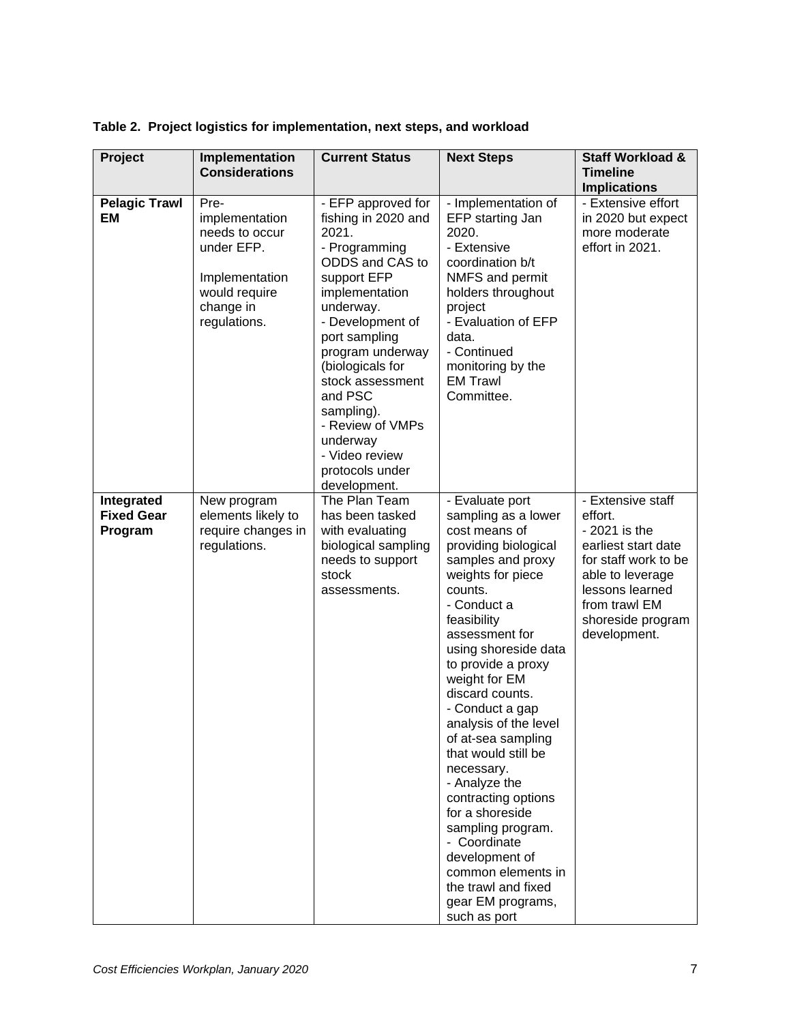| Project                                    | Implementation<br><b>Considerations</b>                                                                                | <b>Current Status</b>                                                                                                                                                                                                                                                                                                                               | <b>Next Steps</b>                                                                                                                                                                                                                                                                                                                                                                                                                                                                                                                                                                 | <b>Staff Workload &amp;</b><br><b>Timeline</b><br><b>Implications</b>                                                                                                                     |
|--------------------------------------------|------------------------------------------------------------------------------------------------------------------------|-----------------------------------------------------------------------------------------------------------------------------------------------------------------------------------------------------------------------------------------------------------------------------------------------------------------------------------------------------|-----------------------------------------------------------------------------------------------------------------------------------------------------------------------------------------------------------------------------------------------------------------------------------------------------------------------------------------------------------------------------------------------------------------------------------------------------------------------------------------------------------------------------------------------------------------------------------|-------------------------------------------------------------------------------------------------------------------------------------------------------------------------------------------|
| <b>Pelagic Trawl</b><br>EM                 | Pre-<br>implementation<br>needs to occur<br>under EFP.<br>Implementation<br>would require<br>change in<br>regulations. | - EFP approved for<br>fishing in 2020 and<br>2021.<br>- Programming<br>ODDS and CAS to<br>support EFP<br>implementation<br>underway.<br>- Development of<br>port sampling<br>program underway<br>(biologicals for<br>stock assessment<br>and PSC<br>sampling).<br>- Review of VMPs<br>underway<br>- Video review<br>protocols under<br>development. | - Implementation of<br>EFP starting Jan<br>2020.<br>- Extensive<br>coordination b/t<br>NMFS and permit<br>holders throughout<br>project<br>- Evaluation of EFP<br>data.<br>- Continued<br>monitoring by the<br><b>EM Trawl</b><br>Committee.                                                                                                                                                                                                                                                                                                                                      | - Extensive effort<br>in 2020 but expect<br>more moderate<br>effort in 2021.                                                                                                              |
| Integrated<br><b>Fixed Gear</b><br>Program | New program<br>elements likely to<br>require changes in<br>regulations.                                                | The Plan Team<br>has been tasked<br>with evaluating<br>biological sampling<br>needs to support<br>stock<br>assessments.                                                                                                                                                                                                                             | - Evaluate port<br>sampling as a lower<br>cost means of<br>providing biological<br>samples and proxy<br>weights for piece<br>counts.<br>- Conduct a<br>feasibility<br>assessment for<br>using shoreside data<br>to provide a proxy<br>weight for EM<br>discard counts.<br>- Conduct a gap<br>analysis of the level<br>of at-sea sampling<br>that would still be<br>necessary.<br>- Analyze the<br>contracting options<br>for a shoreside<br>sampling program.<br>- Coordinate<br>development of<br>common elements in<br>the trawl and fixed<br>gear EM programs,<br>such as port | - Extensive staff<br>effort.<br>- 2021 is the<br>earliest start date<br>for staff work to be<br>able to leverage<br>lessons learned<br>from trawl EM<br>shoreside program<br>development. |

**Table 2. Project logistics for implementation, next steps, and workload**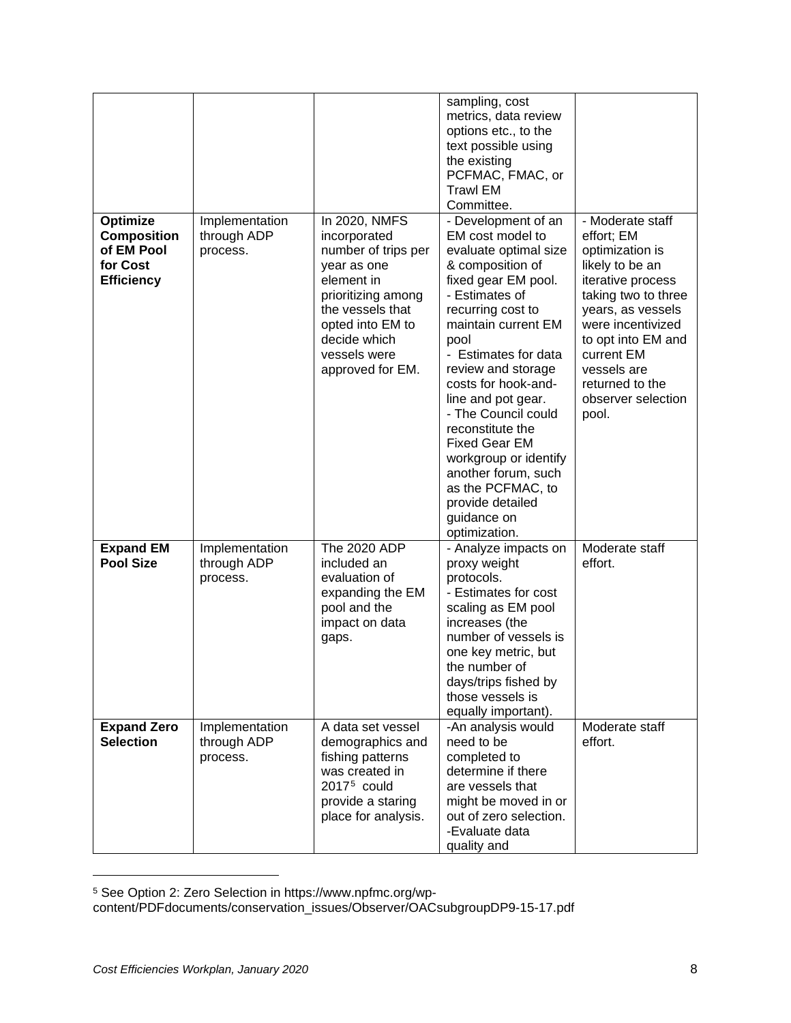| Optimize<br><b>Composition</b><br>of EM Pool<br>for Cost<br><b>Efficiency</b> | Implementation<br>through ADP<br>process. | In 2020, NMFS<br>incorporated<br>number of trips per<br>year as one<br>element in<br>prioritizing among<br>the vessels that<br>opted into EM to<br>decide which<br>vessels were<br>approved for EM. | sampling, cost<br>metrics, data review<br>options etc., to the<br>text possible using<br>the existing<br>PCFMAC, FMAC, or<br><b>Trawl EM</b><br>Committee.<br>- Development of an<br>EM cost model to<br>evaluate optimal size<br>& composition of<br>fixed gear EM pool.<br>- Estimates of<br>recurring cost to<br>maintain current EM<br>pool<br>- Estimates for data<br>review and storage<br>costs for hook-and-<br>line and pot gear.<br>- The Council could<br>reconstitute the<br><b>Fixed Gear EM</b><br>workgroup or identify<br>another forum, such<br>as the PCFMAC, to<br>provide detailed<br>guidance on<br>optimization. | - Moderate staff<br>effort; EM<br>optimization is<br>likely to be an<br>iterative process<br>taking two to three<br>years, as vessels<br>were incentivized<br>to opt into EM and<br>current EM<br>vessels are<br>returned to the<br>observer selection<br>pool. |
|-------------------------------------------------------------------------------|-------------------------------------------|-----------------------------------------------------------------------------------------------------------------------------------------------------------------------------------------------------|----------------------------------------------------------------------------------------------------------------------------------------------------------------------------------------------------------------------------------------------------------------------------------------------------------------------------------------------------------------------------------------------------------------------------------------------------------------------------------------------------------------------------------------------------------------------------------------------------------------------------------------|-----------------------------------------------------------------------------------------------------------------------------------------------------------------------------------------------------------------------------------------------------------------|
| <b>Expand EM</b><br><b>Pool Size</b>                                          | Implementation<br>through ADP<br>process. | The 2020 ADP<br>included an<br>evaluation of<br>expanding the EM<br>pool and the<br>impact on data<br>gaps.                                                                                         | - Analyze impacts on<br>proxy weight<br>protocols.<br>- Estimates for cost<br>scaling as EM pool<br>increases (the<br>number of vessels is<br>one key metric, but<br>the number of<br>days/trips fished by<br>those vessels is<br>equally important).                                                                                                                                                                                                                                                                                                                                                                                  | Moderate staff<br>effort.                                                                                                                                                                                                                                       |
| <b>Expand Zero</b><br><b>Selection</b>                                        | Implementation<br>through ADP<br>process. | A data set vessel<br>demographics and<br>fishing patterns<br>was created in<br>$20175$ could<br>provide a staring<br>place for analysis.                                                            | -An analysis would<br>need to be<br>completed to<br>determine if there<br>are vessels that<br>might be moved in or<br>out of zero selection.<br>-Evaluate data<br>quality and                                                                                                                                                                                                                                                                                                                                                                                                                                                          | Moderate staff<br>effort.                                                                                                                                                                                                                                       |

<span id="page-13-0"></span><sup>5</sup> See Option 2: Zero Selection in https://www.npfmc.org/wp-

content/PDFdocuments/conservation\_issues/Observer/OACsubgroupDP9-15-17.pdf